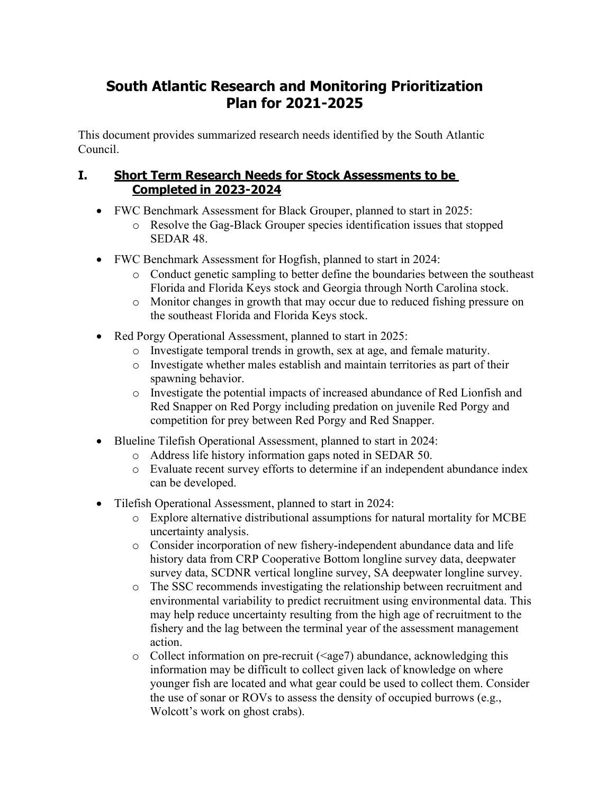# **South Atlantic Research and Monitoring Prioritization Plan for 2021-2025**

This document provides summarized research needs identified by the South Atlantic Council.

### **I. Short Term Research Needs for Stock Assessments to be Completed in 2023-2024**

- FWC Benchmark Assessment for Black Grouper, planned to start in 2025:
	- o Resolve the Gag-Black Grouper species identification issues that stopped SEDAR 48.
- FWC Benchmark Assessment for Hogfish, planned to start in 2024:
	- o Conduct genetic sampling to better define the boundaries between the southeast Florida and Florida Keys stock and Georgia through North Carolina stock.
	- o Monitor changes in growth that may occur due to reduced fishing pressure on the southeast Florida and Florida Keys stock.
- Red Porgy Operational Assessment, planned to start in 2025:
	- o Investigate temporal trends in growth, sex at age, and female maturity.
	- o Investigate whether males establish and maintain territories as part of their spawning behavior.
	- o Investigate the potential impacts of increased abundance of Red Lionfish and Red Snapper on Red Porgy including predation on juvenile Red Porgy and competition for prey between Red Porgy and Red Snapper.
- Blueline Tilefish Operational Assessment, planned to start in 2024:
	- o Address life history information gaps noted in SEDAR 50.
	- o Evaluate recent survey efforts to determine if an independent abundance index can be developed.
- Tilefish Operational Assessment, planned to start in 2024:
	- o Explore alternative distributional assumptions for natural mortality for MCBE uncertainty analysis.
	- o Consider incorporation of new fishery-independent abundance data and life history data from CRP Cooperative Bottom longline survey data, deepwater survey data, SCDNR vertical longline survey, SA deepwater longline survey.
	- o The SSC recommends investigating the relationship between recruitment and environmental variability to predict recruitment using environmental data. This may help reduce uncertainty resulting from the high age of recruitment to the fishery and the lag between the terminal year of the assessment management action.
	- o Collect information on pre-recruit (<age7) abundance, acknowledging this information may be difficult to collect given lack of knowledge on where younger fish are located and what gear could be used to collect them. Consider the use of sonar or ROVs to assess the density of occupied burrows (e.g., Wolcott's work on ghost crabs).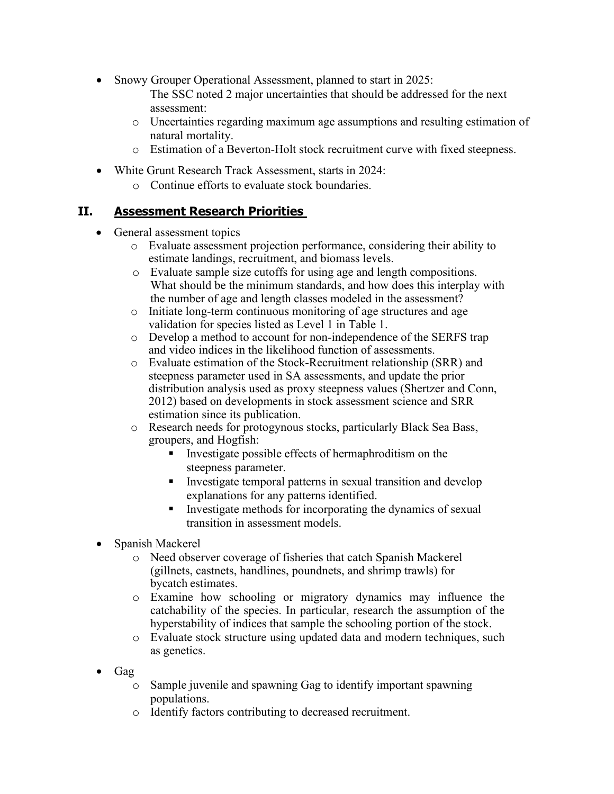- Snowy Grouper Operational Assessment, planned to start in 2025: The SSC noted 2 major uncertainties that should be addressed for the next assessment:
	- o Uncertainties regarding maximum age assumptions and resulting estimation of natural mortality.
	- o Estimation of a Beverton-Holt stock recruitment curve with fixed steepness.
- White Grunt Research Track Assessment, starts in 2024:
	- o Continue efforts to evaluate stock boundaries.

## **II. Assessment Research Priorities**

- General assessment topics
	- o Evaluate assessment projection performance, considering their ability to estimate landings, recruitment, and biomass levels.
	- o Evaluate sample size cutoffs for using age and length compositions. What should be the minimum standards, and how does this interplay with the number of age and length classes modeled in the assessment?
	- o Initiate long-term continuous monitoring of age structures and age validation for species listed as Level 1 in Table 1.
	- o Develop a method to account for non-independence of the SERFS trap and video indices in the likelihood function of assessments.
	- o Evaluate estimation of the Stock-Recruitment relationship (SRR) and steepness parameter used in SA assessments, and update the prior distribution analysis used as proxy steepness values (Shertzer and Conn, 2012) based on developments in stock assessment science and SRR estimation since its publication.
	- o Research needs for protogynous stocks, particularly Black Sea Bass, groupers, and Hogfish:
		- Investigate possible effects of hermaphroditism on the steepness parameter.
		- Investigate temporal patterns in sexual transition and develop explanations for any patterns identified.
		- Investigate methods for incorporating the dynamics of sexual transition in assessment models.
- Spanish Mackerel
	- o Need observer coverage of fisheries that catch Spanish Mackerel (gillnets, castnets, handlines, poundnets, and shrimp trawls) for bycatch estimates.
	- o Examine how schooling or migratory dynamics may influence the catchability of the species. In particular, research the assumption of the hyperstability of indices that sample the schooling portion of the stock.
	- o Evaluate stock structure using updated data and modern techniques, such as genetics.
- Gag
	- Sample juvenile and spawning Gag to identify important spawning populations.
	- o Identify factors contributing to decreased recruitment.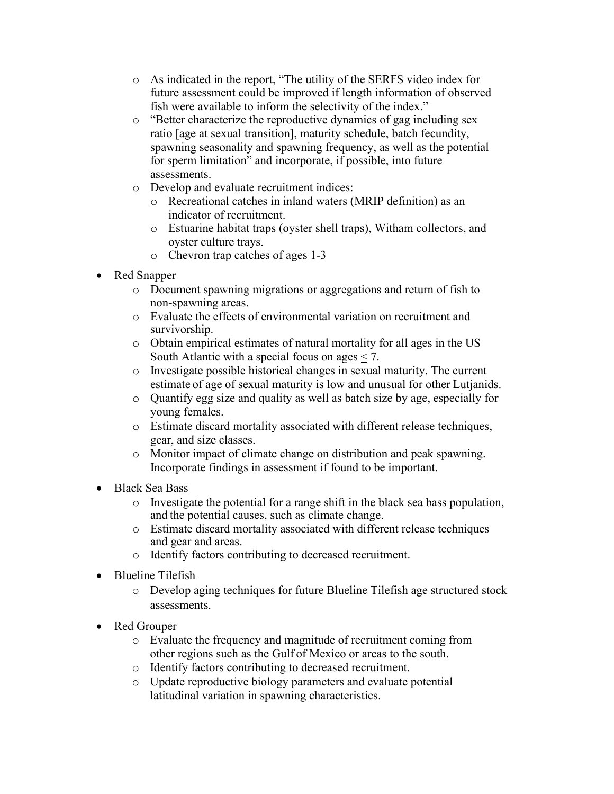- o As indicated in the report, "The utility of the SERFS video index for future assessment could be improved if length information of observed fish were available to inform the selectivity of the index."
- o "Better characterize the reproductive dynamics of gag including sex ratio [age at sexual transition], maturity schedule, batch fecundity, spawning seasonality and spawning frequency, as well as the potential for sperm limitation" and incorporate, if possible, into future assessments.
- o Develop and evaluate recruitment indices:
	- o Recreational catches in inland waters (MRIP definition) as an indicator of recruitment.
	- o Estuarine habitat traps (oyster shell traps), Witham collectors, and oyster culture trays.
	- o Chevron trap catches of ages 1-3
- Red Snapper
	- o Document spawning migrations or aggregations and return of fish to non-spawning areas.
	- o Evaluate the effects of environmental variation on recruitment and survivorship.
	- o Obtain empirical estimates of natural mortality for all ages in the US South Atlantic with a special focus on ages  $\leq 7$ .
	- o Investigate possible historical changes in sexual maturity. The current estimate of age of sexual maturity is low and unusual for other Lutjanids.
	- o Quantify egg size and quality as well as batch size by age, especially for young females.
	- o Estimate discard mortality associated with different release techniques, gear, and size classes.
	- o Monitor impact of climate change on distribution and peak spawning. Incorporate findings in assessment if found to be important.
- Black Sea Bass
	- o Investigate the potential for a range shift in the black sea bass population, and the potential causes, such as climate change.
	- o Estimate discard mortality associated with different release techniques and gear and areas.
	- o Identify factors contributing to decreased recruitment.
- Blueline Tilefish
	- o Develop aging techniques for future Blueline Tilefish age structured stock assessments.
- Red Grouper
	- o Evaluate the frequency and magnitude of recruitment coming from other regions such as the Gulf of Mexico or areas to the south.
	- o Identify factors contributing to decreased recruitment.
	- o Update reproductive biology parameters and evaluate potential latitudinal variation in spawning characteristics.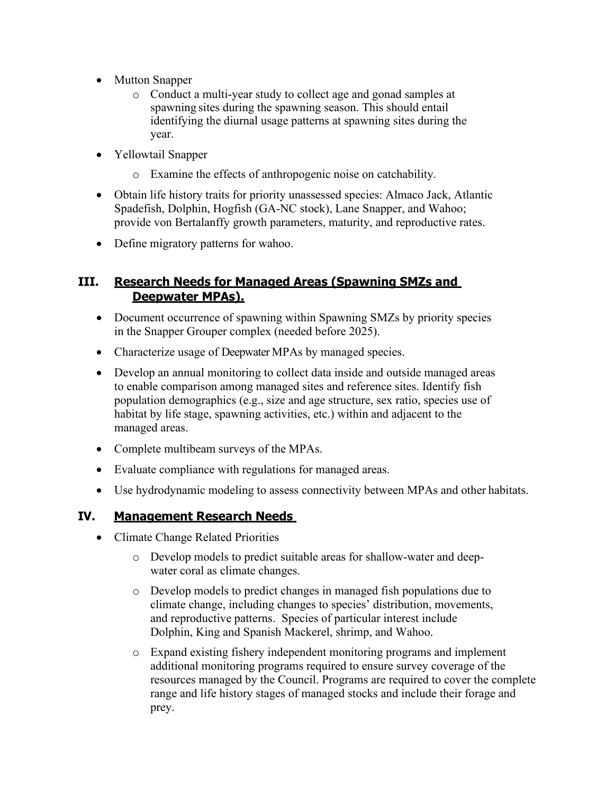- Mutton Snapper
	- o Conduct a multi-year study to collect age and gonad samples at spawning sites during the spawning season. This should entail identifying the diurnal usage patterns at spawning sites during the year.
- Yellowtail Snapper
	- o Examine the effects of anthropogenic noise on catchability.
- Obtain life history traits for priority unassessed species: Almaco Jack, Atlantic Spadefish, Dolphin, Hogfish (GA-NC stock), Lane Snapper, and Wahoo; provide von Bertalanffy growth parameters, maturity, and reproductive rates.
- Define migratory patterns for wahoo.

#### **III. Research Needs for Managed Areas (Spawning SMZs and Deepwater MPAs).**

- Document occurrence of spawning within Spawning SMZs by priority species in the Snapper Grouper complex (needed before 2025).
- Characterize usage of Deepwater MPAs by managed species.
- Develop an annual monitoring to collect data inside and outside managed areas to enable comparison among managed sites and reference sites. Identify fish population demographics (e.g., size and age structure, sex ratio, species use of habitat by life stage, spawning activities, etc.) within and adjacent to the managed areas.
- Complete multibeam surveys of the MPAs.
- Evaluate compliance with regulations for managed areas.
- Use hydrodynamic modeling to assess connectivity between MPAs and other habitats.

### **IV. Management Research Needs**

- Climate Change Related Priorities
	- o Develop models to predict suitable areas for shallow-water and deepwater coral as climate changes.
	- o Develop models to predict changes in managed fish populations due to climate change, including changes to species' distribution, movements, and reproductive patterns. Species of particular interest include Dolphin, King and Spanish Mackerel, shrimp, and Wahoo.
	- o Expand existing fishery independent monitoring programs and implement additional monitoring programs required to ensure survey coverage of the resources managed by the Council. Programs are required to cover the complete range and life history stages of managed stocks and include their forage and prey.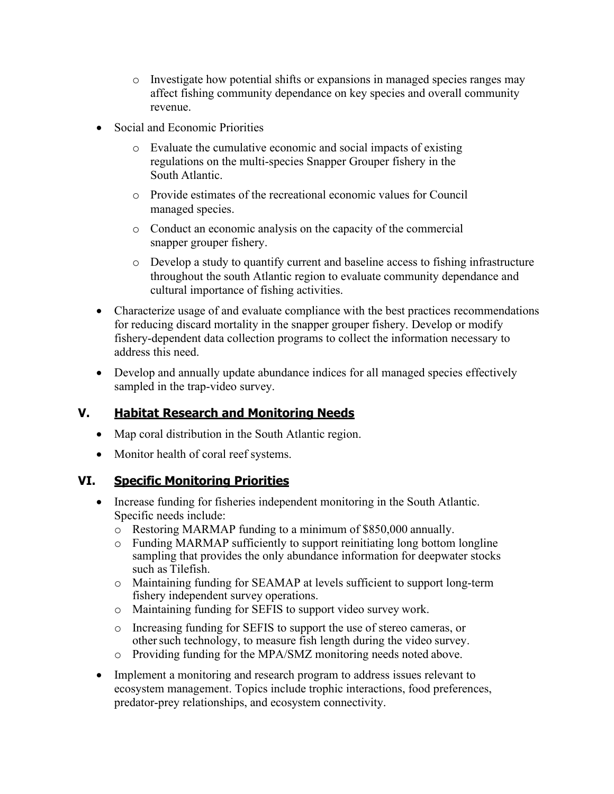- o Investigate how potential shifts or expansions in managed species ranges may affect fishing community dependance on key species and overall community revenue.
- Social and Economic Priorities
	- o Evaluate the cumulative economic and social impacts of existing regulations on the multi-species Snapper Grouper fishery in the South Atlantic.
	- o Provide estimates of the recreational economic values for Council managed species.
	- o Conduct an economic analysis on the capacity of the commercial snapper grouper fishery.
	- o Develop a study to quantify current and baseline access to fishing infrastructure throughout the south Atlantic region to evaluate community dependance and cultural importance of fishing activities.
- Characterize usage of and evaluate compliance with the best practices recommendations for reducing discard mortality in the snapper grouper fishery. Develop or modify fishery-dependent data collection programs to collect the information necessary to address this need.
- Develop and annually update abundance indices for all managed species effectively sampled in the trap-video survey.

## **V. Habitat Research and Monitoring Needs**

- Map coral distribution in the South Atlantic region.
- Monitor health of coral reef systems.

### **VI. Specific Monitoring Priorities**

- Increase funding for fisheries independent monitoring in the South Atlantic. Specific needs include:
	- o Restoring MARMAP funding to a minimum of \$850,000 annually.
	- $\circ$  Funding MARMAP sufficiently to support reinitiating long bottom longline sampling that provides the only abundance information for deepwater stocks such as Tilefish.
	- o Maintaining funding for SEAMAP at levels sufficient to support long-term fishery independent survey operations.
	- o Maintaining funding for SEFIS to support video survey work.
	- o Increasing funding for SEFIS to support the use of stereo cameras, or other such technology, to measure fish length during the video survey.
	- o Providing funding for the MPA/SMZ monitoring needs noted above.
- Implement a monitoring and research program to address issues relevant to ecosystem management. Topics include trophic interactions, food preferences, predator-prey relationships, and ecosystem connectivity.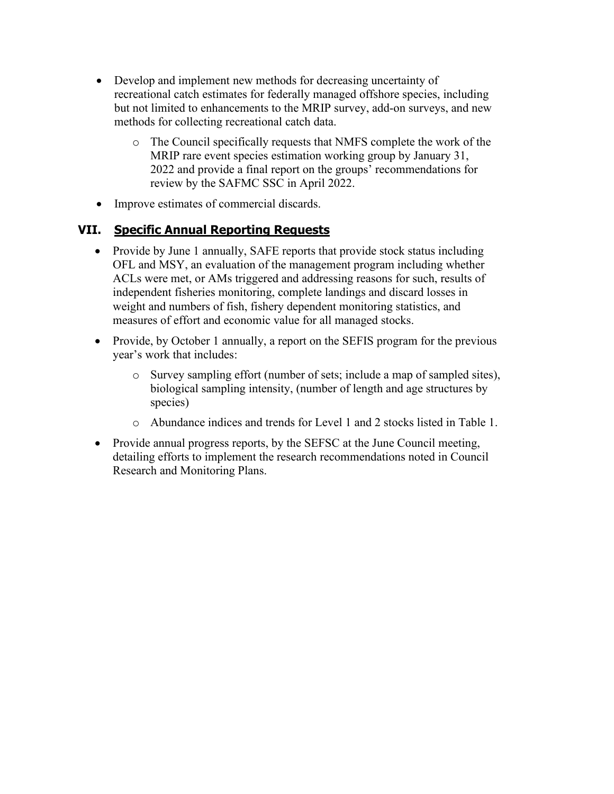- Develop and implement new methods for decreasing uncertainty of recreational catch estimates for federally managed offshore species, including but not limited to enhancements to the MRIP survey, add-on surveys, and new methods for collecting recreational catch data.
	- o The Council specifically requests that NMFS complete the work of the MRIP rare event species estimation working group by January 31, 2022 and provide a final report on the groups' recommendations for review by the SAFMC SSC in April 2022.
- Improve estimates of commercial discards.

## **VII. Specific Annual Reporting Requests**

- Provide by June 1 annually, SAFE reports that provide stock status including OFL and MSY, an evaluation of the management program including whether ACLs were met, or AMs triggered and addressing reasons for such, results of independent fisheries monitoring, complete landings and discard losses in weight and numbers of fish, fishery dependent monitoring statistics, and measures of effort and economic value for all managed stocks.
- Provide, by October 1 annually, a report on the SEFIS program for the previous year's work that includes:
	- o Survey sampling effort (number of sets; include a map of sampled sites), biological sampling intensity, (number of length and age structures by species)
	- o Abundance indices and trends for Level 1 and 2 stocks listed in Table 1.
- Provide annual progress reports, by the SEFSC at the June Council meeting, detailing efforts to implement the research recommendations noted in Council Research and Monitoring Plans.